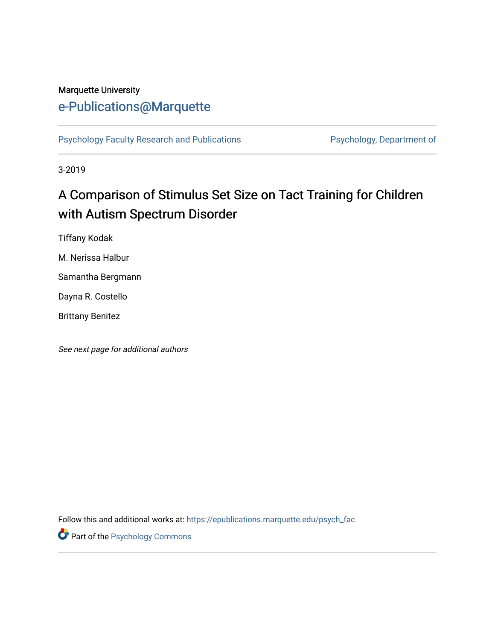# Marquette University

# [e-Publications@Marquette](https://epublications.marquette.edu/)

[Psychology Faculty Research and Publications](https://epublications.marquette.edu/psych_fac) Psychology, Department of

3-2019

# A Comparison of Stimulus Set Size on Tact Training for Children with Autism Spectrum Disorder

Tiffany Kodak

M. Nerissa Halbur

Samantha Bergmann

Dayna R. Costello

Brittany Benitez

See next page for additional authors

Follow this and additional works at: [https://epublications.marquette.edu/psych\\_fac](https://epublications.marquette.edu/psych_fac?utm_source=epublications.marquette.edu%2Fpsych_fac%2F444&utm_medium=PDF&utm_campaign=PDFCoverPages)

**Part of the Psychology Commons**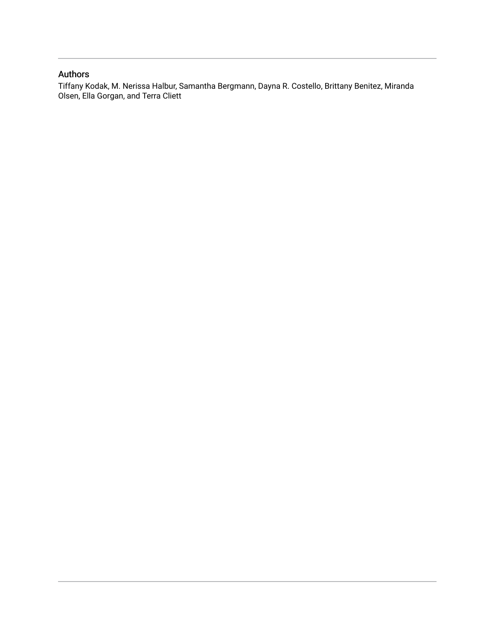#### Authors

Tiffany Kodak, M. Nerissa Halbur, Samantha Bergmann, Dayna R. Costello, Brittany Benitez, Miranda Olsen, Ella Gorgan, and Terra Cliett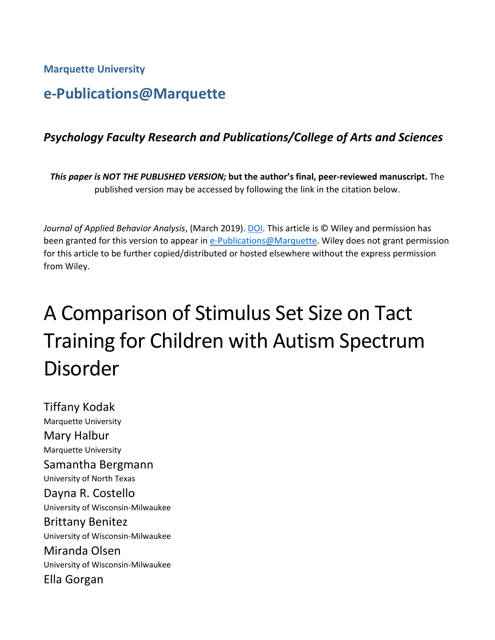**Marquette University**

# **e-Publications@Marquette**

## *Psychology Faculty Research and Publications/College of Arts and Sciences*

*This paper is NOT THE PUBLISHED VERSION;* **but the author's final, peer-reviewed manuscript.** The published version may be accessed by following the link in the citation below.

*Journal of Applied Behavior Analysis*, (March 2019). DOI. This article is © Wiley and permission has been granted for this version to appear in [e-Publications@Marquette.](http://epublications.marquette.edu/) Wiley does not grant permission for this article to be further copied/distributed or hosted elsewhere without the express permission from Wiley.

# A Comparison of Stimulus Set Size on Tact Training for Children with Autism Spectrum Disorder

Tiffany Kodak Marquette University Mary Halbur Marquette University Samantha Bergmann University of North Texas Dayna R. Costello University of Wisconsin-Milwaukee Brittany Benitez University of Wisconsin-Milwaukee Miranda Olsen University of Wisconsin-Milwaukee Ella Gorgan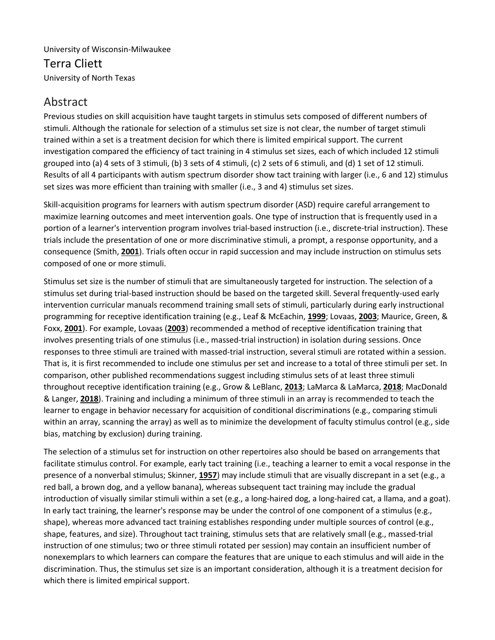#### University of Wisconsin-Milwaukee Terra Cliett University of North Texas

## Abstract

Previous studies on skill acquisition have taught targets in stimulus sets composed of different numbers of stimuli. Although the rationale for selection of a stimulus set size is not clear, the number of target stimuli trained within a set is a treatment decision for which there is limited empirical support. The current investigation compared the efficiency of tact training in 4 stimulus set sizes, each of which included 12 stimuli grouped into (a) 4 sets of 3 stimuli, (b) 3 sets of 4 stimuli, (c) 2 sets of 6 stimuli, and (d) 1 set of 12 stimuli. Results of all 4 participants with autism spectrum disorder show tact training with larger (i.e., 6 and 12) stimulus set sizes was more efficient than training with smaller (i.e., 3 and 4) stimulus set sizes.

Skill-acquisition programs for learners with autism spectrum disorder (ASD) require careful arrangement to maximize learning outcomes and meet intervention goals. One type of instruction that is frequently used in a portion of a learner's intervention program involves trial-based instruction (i.e., discrete-trial instruction). These trials include the presentation of one or more discriminative stimuli, a prompt, a response opportunity, and a consequence (Smith, **[2001](https://onlinelibrary.wiley.com/doi/full/10.1002/jaba.553#jaba553-bib-0024)**). Trials often occur in rapid succession and may include instruction on stimulus sets composed of one or more stimuli.

Stimulus set size is the number of stimuli that are simultaneously targeted for instruction. The selection of a stimulus set during trial-based instruction should be based on the targeted skill. Several frequently-used early intervention curricular manuals recommend training small sets of stimuli, particularly during early instructional programming for receptive identification training (e.g., Leaf & McEachin, **[1999](https://onlinelibrary.wiley.com/doi/full/10.1002/jaba.553#jaba553-bib-0015)**; Lovaas, **[2003](https://onlinelibrary.wiley.com/doi/full/10.1002/jaba.553#jaba553-bib-0016)**; Maurice, Green, & Foxx, **[2001](https://onlinelibrary.wiley.com/doi/full/10.1002/jaba.553#jaba553-bib-0019)**). For example, Lovaas (**[2003](https://onlinelibrary.wiley.com/doi/full/10.1002/jaba.553#jaba553-bib-0016)**) recommended a method of receptive identification training that involves presenting trials of one stimulus (i.e., massed-trial instruction) in isolation during sessions. Once responses to three stimuli are trained with massed-trial instruction, several stimuli are rotated within a session. That is, it is first recommended to include one stimulus per set and increase to a total of three stimuli per set. In comparison, other published recommendations suggest including stimulus sets of at least three stimuli throughout receptive identification training (e.g., Grow & LeBlanc, **[2013](https://onlinelibrary.wiley.com/doi/full/10.1002/jaba.553#jaba553-bib-0009)**; LaMarca & LaMarca, **[2018](https://onlinelibrary.wiley.com/doi/full/10.1002/jaba.553#jaba553-bib-0014)**; MacDonald & Langer, **[2018](https://onlinelibrary.wiley.com/doi/full/10.1002/jaba.553#jaba553-bib-0017)**). Training and including a minimum of three stimuli in an array is recommended to teach the learner to engage in behavior necessary for acquisition of conditional discriminations (e.g., comparing stimuli within an array, scanning the array) as well as to minimize the development of faculty stimulus control (e.g., side bias, matching by exclusion) during training.

The selection of a stimulus set for instruction on other repertoires also should be based on arrangements that facilitate stimulus control. For example, early tact training (i.e., teaching a learner to emit a vocal response in the presence of a nonverbal stimulus; Skinner, **[1957](https://onlinelibrary.wiley.com/doi/full/10.1002/jaba.553#jaba553-bib-0023)**) may include stimuli that are visually discrepant in a set (e.g., a red ball, a brown dog, and a yellow banana), whereas subsequent tact training may include the gradual introduction of visually similar stimuli within a set (e.g., a long-haired dog, a long-haired cat, a llama, and a goat). In early tact training, the learner's response may be under the control of one component of a stimulus (e.g., shape), whereas more advanced tact training establishes responding under multiple sources of control (e.g., shape, features, and size). Throughout tact training, stimulus sets that are relatively small (e.g., massed-trial instruction of one stimulus; two or three stimuli rotated per session) may contain an insufficient number of nonexemplars to which learners can compare the features that are unique to each stimulus and will aide in the discrimination. Thus, the stimulus set size is an important consideration, although it is a treatment decision for which there is limited empirical support.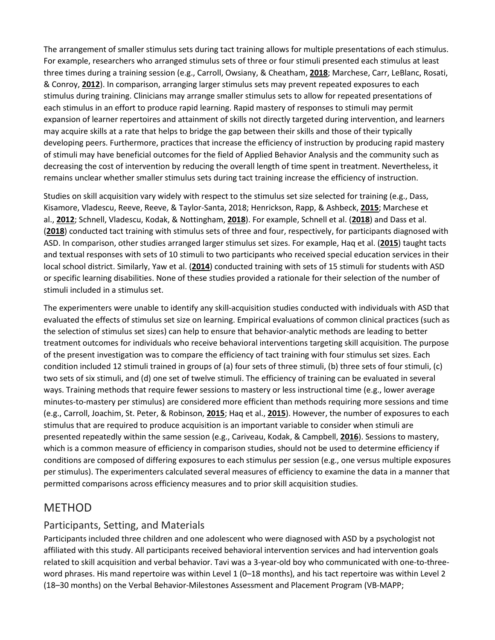The arrangement of smaller stimulus sets during tact training allows for multiple presentations of each stimulus. For example, researchers who arranged stimulus sets of three or four stimuli presented each stimulus at least three times during a training session (e.g., Carroll, Owsiany, & Cheatham, **[2018](https://onlinelibrary.wiley.com/doi/full/10.1002/jaba.553#jaba553-bib-0004)**; Marchese, Carr, LeBlanc, Rosati, & Conroy, **[2012](https://onlinelibrary.wiley.com/doi/full/10.1002/jaba.553#jaba553-bib-0018)**). In comparison, arranging larger stimulus sets may prevent repeated exposures to each stimulus during training. Clinicians may arrange smaller stimulus sets to allow for repeated presentations of each stimulus in an effort to produce rapid learning. Rapid mastery of responses to stimuli may permit expansion of learner repertoires and attainment of skills not directly targeted during intervention, and learners may acquire skills at a rate that helps to bridge the gap between their skills and those of their typically developing peers. Furthermore, practices that increase the efficiency of instruction by producing rapid mastery of stimuli may have beneficial outcomes for the field of Applied Behavior Analysis and the community such as decreasing the cost of intervention by reducing the overall length of time spent in treatment. Nevertheless, it remains unclear whether smaller stimulus sets during tact training increase the efficiency of instruction.

Studies on skill acquisition vary widely with respect to the stimulus set size selected for training (e.g., Dass, Kisamore, Vladescu, Reeve, Reeve, & Taylor-Santa, 2018; Henrickson, Rapp, & Ashbeck, **[2015](https://onlinelibrary.wiley.com/doi/full/10.1002/jaba.553#jaba553-bib-0012)**; Marchese et al., **[2012](https://onlinelibrary.wiley.com/doi/full/10.1002/jaba.553#jaba553-bib-0018)**; Schnell, Vladescu, Kodak, & Nottingham, **[2018](https://onlinelibrary.wiley.com/doi/full/10.1002/jaba.553#jaba553-bib-0022)**). For example, Schnell et al. (**[2018](https://onlinelibrary.wiley.com/doi/full/10.1002/jaba.553#jaba553-bib-0022)**) and Dass et al. (**[2018](https://onlinelibrary.wiley.com/doi/full/10.1002/jaba.553#jaba553-bib-0006)**) conducted tact training with stimulus sets of three and four, respectively, for participants diagnosed with ASD. In comparison, other studies arranged larger stimulus set sizes. For example, Haq et al. (**[2015](https://onlinelibrary.wiley.com/doi/full/10.1002/jaba.553#jaba553-bib-0011)**) taught tacts and textual responses with sets of 10 stimuli to two participants who received special education services in their local school district. Similarly, Yaw et al. (**[2014](https://onlinelibrary.wiley.com/doi/full/10.1002/jaba.553#jaba553-bib-0026)**) conducted training with sets of 15 stimuli for students with ASD or specific learning disabilities. None of these studies provided a rationale for their selection of the number of stimuli included in a stimulus set.

The experimenters were unable to identify any skill-acquisition studies conducted with individuals with ASD that evaluated the effects of stimulus set size on learning. Empirical evaluations of common clinical practices (such as the selection of stimulus set sizes) can help to ensure that behavior-analytic methods are leading to better treatment outcomes for individuals who receive behavioral interventions targeting skill acquisition. The purpose of the present investigation was to compare the efficiency of tact training with four stimulus set sizes. Each condition included 12 stimuli trained in groups of (a) four sets of three stimuli, (b) three sets of four stimuli, (c) two sets of six stimuli, and (d) one set of twelve stimuli. The efficiency of training can be evaluated in several ways. Training methods that require fewer sessions to mastery or less instructional time (e.g., lower average minutes-to-mastery per stimulus) are considered more efficient than methods requiring more sessions and time (e.g., Carroll, Joachim, St. Peter, & Robinson, **[2015](https://onlinelibrary.wiley.com/doi/full/10.1002/jaba.553#jaba553-bib-0003)**; Haq et al., **[2015](https://onlinelibrary.wiley.com/doi/full/10.1002/jaba.553#jaba553-bib-0011)**). However, the number of exposures to each stimulus that are required to produce acquisition is an important variable to consider when stimuli are presented repeatedly within the same session (e.g., Cariveau, Kodak, & Campbell, **[2016](https://onlinelibrary.wiley.com/doi/full/10.1002/jaba.553#jaba553-bib-0001)**). Sessions to mastery, which is a common measure of efficiency in comparison studies, should not be used to determine efficiency if conditions are composed of differing exposures to each stimulus per session (e.g., one versus multiple exposures per stimulus). The experimenters calculated several measures of efficiency to examine the data in a manner that permitted comparisons across efficiency measures and to prior skill acquisition studies.

### **MFTHOD**

#### Participants, Setting, and Materials

Participants included three children and one adolescent who were diagnosed with ASD by a psychologist not affiliated with this study. All participants received behavioral intervention services and had intervention goals related to skill acquisition and verbal behavior. Tavi was a 3-year-old boy who communicated with one-to-threeword phrases. His mand repertoire was within Level 1 (0–18 months), and his tact repertoire was within Level 2 (18–30 months) on the Verbal Behavior-Milestones Assessment and Placement Program (VB-MAPP;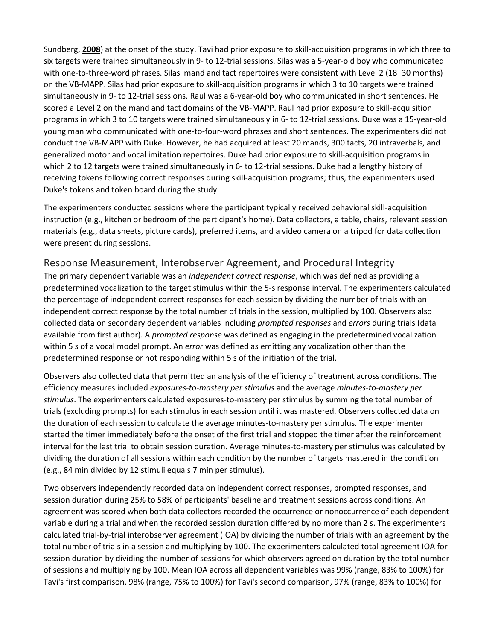Sundberg, **[2008](https://onlinelibrary.wiley.com/doi/full/10.1002/jaba.553#jaba553-bib-0025)**) at the onset of the study. Tavi had prior exposure to skill-acquisition programs in which three to six targets were trained simultaneously in 9- to 12-trial sessions. Silas was a 5-year-old boy who communicated with one-to-three-word phrases. Silas' mand and tact repertoires were consistent with Level 2 (18–30 months) on the VB-MAPP. Silas had prior exposure to skill-acquisition programs in which 3 to 10 targets were trained simultaneously in 9- to 12-trial sessions. Raul was a 6-year-old boy who communicated in short sentences. He scored a Level 2 on the mand and tact domains of the VB-MAPP. Raul had prior exposure to skill-acquisition programs in which 3 to 10 targets were trained simultaneously in 6- to 12-trial sessions. Duke was a 15-year-old young man who communicated with one-to-four-word phrases and short sentences. The experimenters did not conduct the VB-MAPP with Duke. However, he had acquired at least 20 mands, 300 tacts, 20 intraverbals, and generalized motor and vocal imitation repertoires. Duke had prior exposure to skill-acquisition programs in which 2 to 12 targets were trained simultaneously in 6- to 12-trial sessions. Duke had a lengthy history of receiving tokens following correct responses during skill-acquisition programs; thus, the experimenters used Duke's tokens and token board during the study.

The experimenters conducted sessions where the participant typically received behavioral skill-acquisition instruction (e.g., kitchen or bedroom of the participant's home). Data collectors, a table, chairs, relevant session materials (e.g., data sheets, picture cards), preferred items, and a video camera on a tripod for data collection were present during sessions.

#### Response Measurement, Interobserver Agreement, and Procedural Integrity

The primary dependent variable was an *independent correct response*, which was defined as providing a predetermined vocalization to the target stimulus within the 5-s response interval. The experimenters calculated the percentage of independent correct responses for each session by dividing the number of trials with an independent correct response by the total number of trials in the session, multiplied by 100. Observers also collected data on secondary dependent variables including *prompted responses* and *errors* during trials (data available from first author). A *prompted response* was defined as engaging in the predetermined vocalization within 5 s of a vocal model prompt. An *error* was defined as emitting any vocalization other than the predetermined response or not responding within 5 s of the initiation of the trial.

Observers also collected data that permitted an analysis of the efficiency of treatment across conditions. The efficiency measures included *exposures‐to‐mastery per stimulus* and the average *minutes‐to‐mastery per stimulus*. The experimenters calculated exposures-to-mastery per stimulus by summing the total number of trials (excluding prompts) for each stimulus in each session until it was mastered. Observers collected data on the duration of each session to calculate the average minutes-to-mastery per stimulus. The experimenter started the timer immediately before the onset of the first trial and stopped the timer after the reinforcement interval for the last trial to obtain session duration. Average minutes-to-mastery per stimulus was calculated by dividing the duration of all sessions within each condition by the number of targets mastered in the condition (e.g., 84 min divided by 12 stimuli equals 7 min per stimulus).

Two observers independently recorded data on independent correct responses, prompted responses, and session duration during 25% to 58% of participants' baseline and treatment sessions across conditions. An agreement was scored when both data collectors recorded the occurrence or nonoccurrence of each dependent variable during a trial and when the recorded session duration differed by no more than 2 s. The experimenters calculated trial-by-trial interobserver agreement (IOA) by dividing the number of trials with an agreement by the total number of trials in a session and multiplying by 100. The experimenters calculated total agreement IOA for session duration by dividing the number of sessions for which observers agreed on duration by the total number of sessions and multiplying by 100. Mean IOA across all dependent variables was 99% (range, 83% to 100%) for Tavi's first comparison, 98% (range, 75% to 100%) for Tavi's second comparison, 97% (range, 83% to 100%) for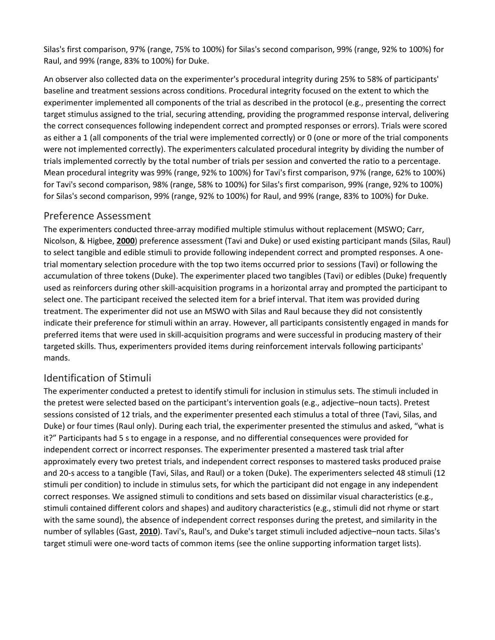Silas's first comparison, 97% (range, 75% to 100%) for Silas's second comparison, 99% (range, 92% to 100%) for Raul, and 99% (range, 83% to 100%) for Duke.

An observer also collected data on the experimenter's procedural integrity during 25% to 58% of participants' baseline and treatment sessions across conditions. Procedural integrity focused on the extent to which the experimenter implemented all components of the trial as described in the protocol (e.g., presenting the correct target stimulus assigned to the trial, securing attending, providing the programmed response interval, delivering the correct consequences following independent correct and prompted responses or errors). Trials were scored as either a 1 (all components of the trial were implemented correctly) or 0 (one or more of the trial components were not implemented correctly). The experimenters calculated procedural integrity by dividing the number of trials implemented correctly by the total number of trials per session and converted the ratio to a percentage. Mean procedural integrity was 99% (range, 92% to 100%) for Tavi's first comparison, 97% (range, 62% to 100%) for Tavi's second comparison, 98% (range, 58% to 100%) for Silas's first comparison, 99% (range, 92% to 100%) for Silas's second comparison, 99% (range, 92% to 100%) for Raul, and 99% (range, 83% to 100%) for Duke.

#### Preference Assessment

The experimenters conducted three-array modified multiple stimulus without replacement (MSWO; Carr, Nicolson, & Higbee, **[2000](https://onlinelibrary.wiley.com/doi/full/10.1002/jaba.553#jaba553-bib-0002)**) preference assessment (Tavi and Duke) or used existing participant mands (Silas, Raul) to select tangible and edible stimuli to provide following independent correct and prompted responses. A onetrial momentary selection procedure with the top two items occurred prior to sessions (Tavi) or following the accumulation of three tokens (Duke). The experimenter placed two tangibles (Tavi) or edibles (Duke) frequently used as reinforcers during other skill-acquisition programs in a horizontal array and prompted the participant to select one. The participant received the selected item for a brief interval. That item was provided during treatment. The experimenter did not use an MSWO with Silas and Raul because they did not consistently indicate their preference for stimuli within an array. However, all participants consistently engaged in mands for preferred items that were used in skill-acquisition programs and were successful in producing mastery of their targeted skills. Thus, experimenters provided items during reinforcement intervals following participants' mands.

#### Identification of Stimuli

The experimenter conducted a pretest to identify stimuli for inclusion in stimulus sets. The stimuli included in the pretest were selected based on the participant's intervention goals (e.g., adjective–noun tacts). Pretest sessions consisted of 12 trials, and the experimenter presented each stimulus a total of three (Tavi, Silas, and Duke) or four times (Raul only). During each trial, the experimenter presented the stimulus and asked, "what is it?" Participants had 5 s to engage in a response, and no differential consequences were provided for independent correct or incorrect responses. The experimenter presented a mastered task trial after approximately every two pretest trials, and independent correct responses to mastered tasks produced praise and 20-s access to a tangible (Tavi, Silas, and Raul) or a token (Duke). The experimenters selected 48 stimuli (12 stimuli per condition) to include in stimulus sets, for which the participant did not engage in any independent correct responses. We assigned stimuli to conditions and sets based on dissimilar visual characteristics (e.g., stimuli contained different colors and shapes) and auditory characteristics (e.g., stimuli did not rhyme or start with the same sound), the absence of independent correct responses during the pretest, and similarity in the number of syllables (Gast, **[2010](https://onlinelibrary.wiley.com/doi/full/10.1002/jaba.553#jaba553-bib-0008)**). Tavi's, Raul's, and Duke's target stimuli included adjective–noun tacts. Silas's target stimuli were one-word tacts of common items (see the online supporting information target lists).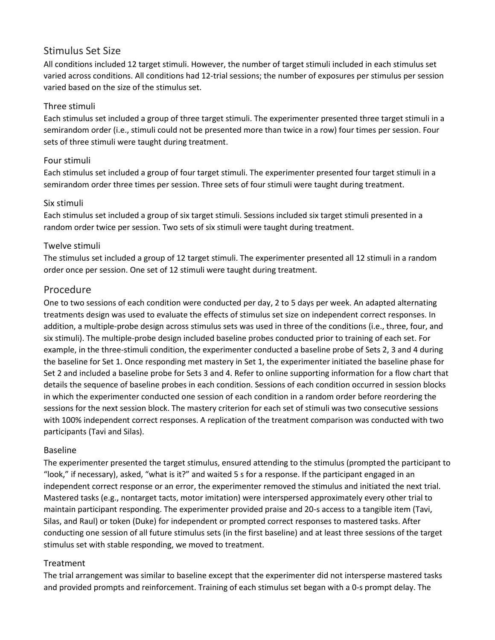#### Stimulus Set Size

All conditions included 12 target stimuli. However, the number of target stimuli included in each stimulus set varied across conditions. All conditions had 12-trial sessions; the number of exposures per stimulus per session varied based on the size of the stimulus set.

#### Three stimuli

Each stimulus set included a group of three target stimuli. The experimenter presented three target stimuli in a semirandom order (i.e., stimuli could not be presented more than twice in a row) four times per session. Four sets of three stimuli were taught during treatment.

#### Four stimuli

Each stimulus set included a group of four target stimuli. The experimenter presented four target stimuli in a semirandom order three times per session. Three sets of four stimuli were taught during treatment.

#### Six stimuli

Each stimulus set included a group of six target stimuli. Sessions included six target stimuli presented in a random order twice per session. Two sets of six stimuli were taught during treatment.

#### Twelve stimuli

The stimulus set included a group of 12 target stimuli. The experimenter presented all 12 stimuli in a random order once per session. One set of 12 stimuli were taught during treatment.

#### Procedure

One to two sessions of each condition were conducted per day, 2 to 5 days per week. An adapted alternating treatments design was used to evaluate the effects of stimulus set size on independent correct responses. In addition, a multiple-probe design across stimulus sets was used in three of the conditions (i.e., three, four, and six stimuli). The multiple-probe design included baseline probes conducted prior to training of each set. For example, in the three-stimuli condition, the experimenter conducted a baseline probe of Sets 2, 3 and 4 during the baseline for Set 1. Once responding met mastery in Set 1, the experimenter initiated the baseline phase for Set 2 and included a baseline probe for Sets 3 and 4. Refer to online supporting information for a flow chart that details the sequence of baseline probes in each condition. Sessions of each condition occurred in session blocks in which the experimenter conducted one session of each condition in a random order before reordering the sessions for the next session block. The mastery criterion for each set of stimuli was two consecutive sessions with 100% independent correct responses. A replication of the treatment comparison was conducted with two participants (Tavi and Silas).

#### Baseline

The experimenter presented the target stimulus, ensured attending to the stimulus (prompted the participant to "look," if necessary), asked, "what is it?" and waited 5 s for a response. If the participant engaged in an independent correct response or an error, the experimenter removed the stimulus and initiated the next trial. Mastered tasks (e.g., nontarget tacts, motor imitation) were interspersed approximately every other trial to maintain participant responding. The experimenter provided praise and 20-s access to a tangible item (Tavi, Silas, and Raul) or token (Duke) for independent or prompted correct responses to mastered tasks. After conducting one session of all future stimulus sets (in the first baseline) and at least three sessions of the target stimulus set with stable responding, we moved to treatment.

#### Treatment

The trial arrangement was similar to baseline except that the experimenter did not intersperse mastered tasks and provided prompts and reinforcement. Training of each stimulus set began with a 0-s prompt delay. The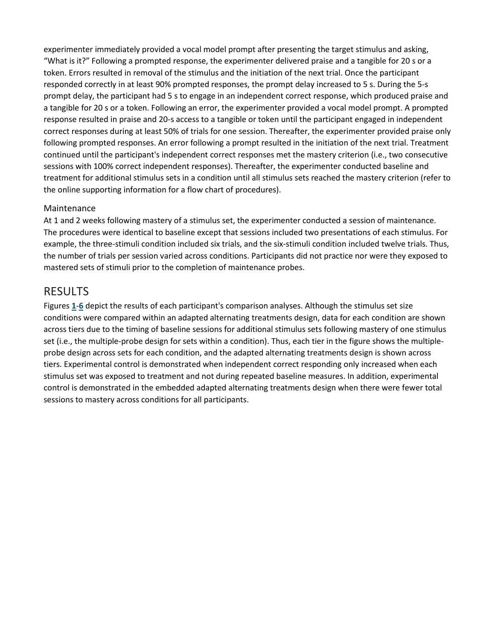experimenter immediately provided a vocal model prompt after presenting the target stimulus and asking, "What is it?" Following a prompted response, the experimenter delivered praise and a tangible for 20 s or a token. Errors resulted in removal of the stimulus and the initiation of the next trial. Once the participant responded correctly in at least 90% prompted responses, the prompt delay increased to 5 s. During the 5-s prompt delay, the participant had 5 s to engage in an independent correct response, which produced praise and a tangible for 20 s or a token. Following an error, the experimenter provided a vocal model prompt. A prompted response resulted in praise and 20-s access to a tangible or token until the participant engaged in independent correct responses during at least 50% of trials for one session. Thereafter, the experimenter provided praise only following prompted responses. An error following a prompt resulted in the initiation of the next trial. Treatment continued until the participant's independent correct responses met the mastery criterion (i.e., two consecutive sessions with 100% correct independent responses). Thereafter, the experimenter conducted baseline and treatment for additional stimulus sets in a condition until all stimulus sets reached the mastery criterion (refer to the online supporting information for a flow chart of procedures).

#### Maintenance

At 1 and 2 weeks following mastery of a stimulus set, the experimenter conducted a session of maintenance. The procedures were identical to baseline except that sessions included two presentations of each stimulus. For example, the three-stimuli condition included six trials, and the six-stimuli condition included twelve trials. Thus, the number of trials per session varied across conditions. Participants did not practice nor were they exposed to mastered sets of stimuli prior to the completion of maintenance probes.

#### RESULTS

Figures **[1](https://onlinelibrary.wiley.com/doi/full/10.1002/jaba.553#jaba553-fig-0001)**-**[6](https://onlinelibrary.wiley.com/doi/full/10.1002/jaba.553#jaba553-fig-0006)** depict the results of each participant's comparison analyses. Although the stimulus set size conditions were compared within an adapted alternating treatments design, data for each condition are shown across tiers due to the timing of baseline sessions for additional stimulus sets following mastery of one stimulus set (i.e., the multiple-probe design for sets within a condition). Thus, each tier in the figure shows the multipleprobe design across sets for each condition, and the adapted alternating treatments design is shown across tiers. Experimental control is demonstrated when independent correct responding only increased when each stimulus set was exposed to treatment and not during repeated baseline measures. In addition, experimental control is demonstrated in the embedded adapted alternating treatments design when there were fewer total sessions to mastery across conditions for all participants.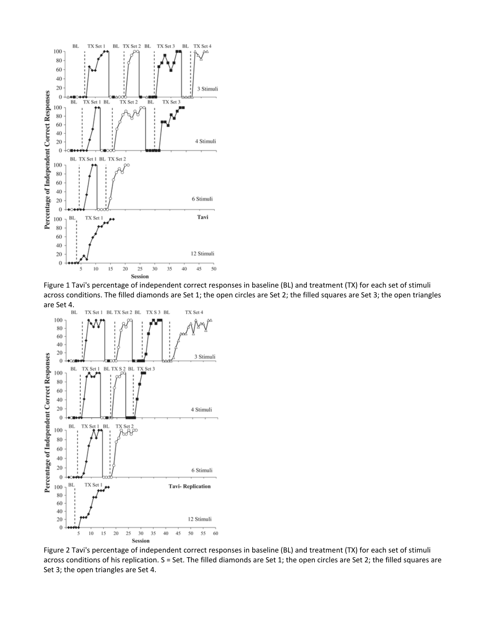

Figure 1 Tavi's percentage of independent correct responses in baseline (BL) and treatment (TX) for each set of stimuli across conditions. The filled diamonds are Set 1; the open circles are Set 2; the filled squares are Set 3; the open triangles are Set 4.



Figure 2 Tavi's percentage of independent correct responses in baseline (BL) and treatment (TX) for each set of stimuli across conditions of his replication. S = Set. The filled diamonds are Set 1; the open circles are Set 2; the filled squares are Set 3; the open triangles are Set 4.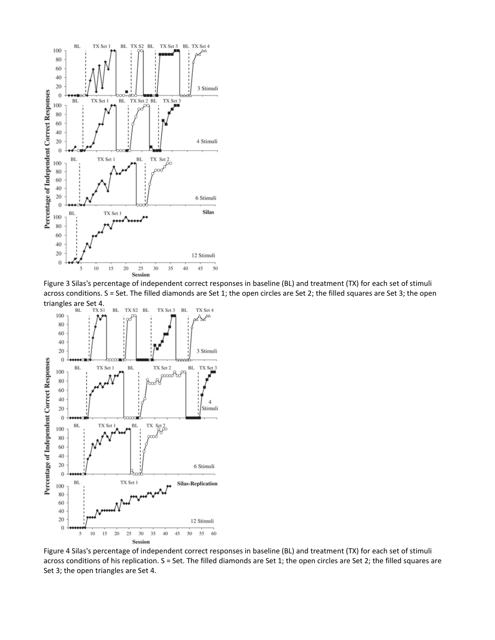

Figure 3 Silas's percentage of independent correct responses in baseline (BL) and treatment (TX) for each set of stimuli across conditions. S = Set. The filled diamonds are Set 1; the open circles are Set 2; the filled squares are Set 3; the open



Figure 4 Silas's percentage of independent correct responses in baseline (BL) and treatment (TX) for each set of stimuli across conditions of his replication. S = Set. The filled diamonds are Set 1; the open circles are Set 2; the filled squares are Set 3; the open triangles are Set 4.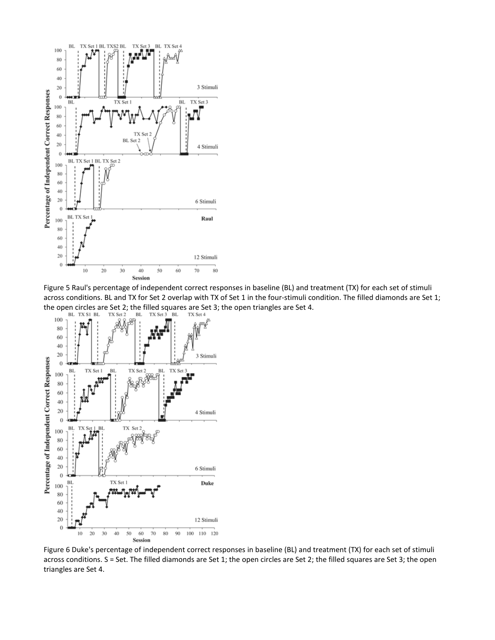

Figure 5 Raul's percentage of independent correct responses in baseline (BL) and treatment (TX) for each set of stimuli across conditions. BL and TX for Set 2 overlap with TX of Set 1 in the four-stimuli condition. The filled diamonds are Set 1; the open circles are Set 2; the filled squares are Set 3; the open triangles are Set 4.<br>BL TX Set 2 BL TX Set 3 BL TX Set 4



Figure 6 Duke's percentage of independent correct responses in baseline (BL) and treatment (TX) for each set of stimuli across conditions. S = Set. The filled diamonds are Set 1; the open circles are Set 2; the filled squares are Set 3; the open triangles are Set 4.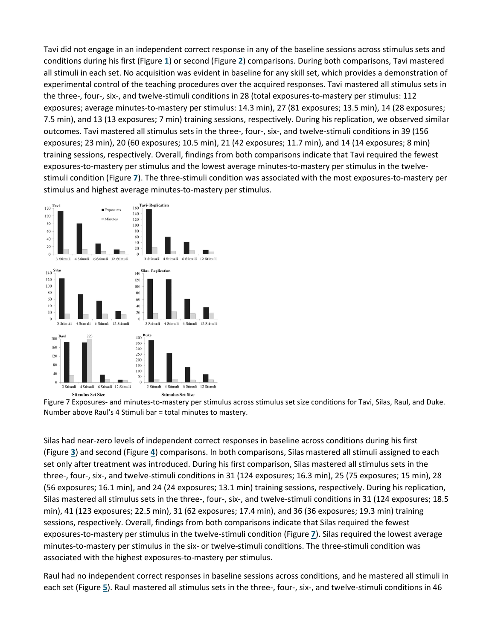Tavi did not engage in an independent correct response in any of the baseline sessions across stimulus sets and conditions during his first (Figure **[1](https://onlinelibrary.wiley.com/doi/full/10.1002/jaba.553#jaba553-fig-0001)**) or second (Figure **[2](https://onlinelibrary.wiley.com/doi/full/10.1002/jaba.553#jaba553-fig-0002)**) comparisons. During both comparisons, Tavi mastered all stimuli in each set. No acquisition was evident in baseline for any skill set, which provides a demonstration of experimental control of the teaching procedures over the acquired responses. Tavi mastered all stimulus sets in the three-, four-, six-, and twelve-stimuli conditions in 28 (total exposures-to-mastery per stimulus: 112 exposures; average minutes-to-mastery per stimulus: 14.3 min), 27 (81 exposures; 13.5 min), 14 (28 exposures; 7.5 min), and 13 (13 exposures; 7 min) training sessions, respectively. During his replication, we observed similar outcomes. Tavi mastered all stimulus sets in the three-, four-, six-, and twelve-stimuli conditions in 39 (156 exposures; 23 min), 20 (60 exposures; 10.5 min), 21 (42 exposures; 11.7 min), and 14 (14 exposures; 8 min) training sessions, respectively. Overall, findings from both comparisons indicate that Tavi required the fewest exposures-to-mastery per stimulus and the lowest average minutes-to-mastery per stimulus in the twelvestimuli condition (Figure **[7](https://onlinelibrary.wiley.com/doi/full/10.1002/jaba.553#jaba553-fig-0007)**). The three-stimuli condition was associated with the most exposures-to-mastery per stimulus and highest average minutes-to-mastery per stimulus.



Figure 7 Exposures- and minutes-to-mastery per stimulus across stimulus set size conditions for Tavi, Silas, Raul, and Duke. Number above Raul's 4 Stimuli bar = total minutes to mastery.

Silas had near-zero levels of independent correct responses in baseline across conditions during his first (Figure **[3](https://onlinelibrary.wiley.com/doi/full/10.1002/jaba.553#jaba553-fig-0003)**) and second (Figure **[4](https://onlinelibrary.wiley.com/doi/full/10.1002/jaba.553#jaba553-fig-0004)**) comparisons. In both comparisons, Silas mastered all stimuli assigned to each set only after treatment was introduced. During his first comparison, Silas mastered all stimulus sets in the three-, four-, six-, and twelve-stimuli conditions in 31 (124 exposures; 16.3 min), 25 (75 exposures; 15 min), 28 (56 exposures; 16.1 min), and 24 (24 exposures; 13.1 min) training sessions, respectively. During his replication, Silas mastered all stimulus sets in the three-, four-, six-, and twelve-stimuli conditions in 31 (124 exposures; 18.5 min), 41 (123 exposures; 22.5 min), 31 (62 exposures; 17.4 min), and 36 (36 exposures; 19.3 min) training sessions, respectively. Overall, findings from both comparisons indicate that Silas required the fewest exposures-to-mastery per stimulus in the twelve-stimuli condition (Figure **[7](https://onlinelibrary.wiley.com/doi/full/10.1002/jaba.553#jaba553-fig-0007)**). Silas required the lowest average minutes-to-mastery per stimulus in the six- or twelve-stimuli conditions. The three-stimuli condition was associated with the highest exposures-to-mastery per stimulus.

Raul had no independent correct responses in baseline sessions across conditions, and he mastered all stimuli in each set (Figure **[5](https://onlinelibrary.wiley.com/doi/full/10.1002/jaba.553#jaba553-fig-0005)**). Raul mastered all stimulus sets in the three-, four-, six-, and twelve-stimuli conditions in 46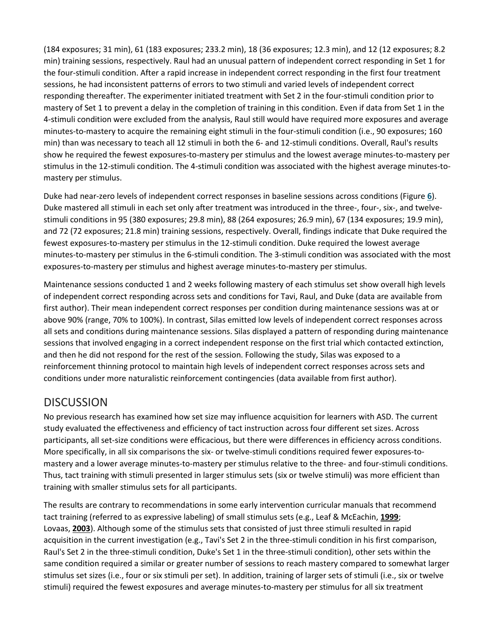(184 exposures; 31 min), 61 (183 exposures; 233.2 min), 18 (36 exposures; 12.3 min), and 12 (12 exposures; 8.2 min) training sessions, respectively. Raul had an unusual pattern of independent correct responding in Set 1 for the four-stimuli condition. After a rapid increase in independent correct responding in the first four treatment sessions, he had inconsistent patterns of errors to two stimuli and varied levels of independent correct responding thereafter. The experimenter initiated treatment with Set 2 in the four-stimuli condition prior to mastery of Set 1 to prevent a delay in the completion of training in this condition. Even if data from Set 1 in the 4-stimuli condition were excluded from the analysis, Raul still would have required more exposures and average minutes-to-mastery to acquire the remaining eight stimuli in the four-stimuli condition (i.e., 90 exposures; 160 min) than was necessary to teach all 12 stimuli in both the 6- and 12-stimuli conditions. Overall, Raul's results show he required the fewest exposures-to-mastery per stimulus and the lowest average minutes-to-mastery per stimulus in the 12-stimuli condition. The 4-stimuli condition was associated with the highest average minutes-tomastery per stimulus.

Duke had near-zero levels of independent correct responses in baseline sessions across conditions (Figure **[6](https://onlinelibrary.wiley.com/doi/full/10.1002/jaba.553#jaba553-fig-0006)**). Duke mastered all stimuli in each set only after treatment was introduced in the three-, four-, six-, and twelvestimuli conditions in 95 (380 exposures; 29.8 min), 88 (264 exposures; 26.9 min), 67 (134 exposures; 19.9 min), and 72 (72 exposures; 21.8 min) training sessions, respectively. Overall, findings indicate that Duke required the fewest exposures-to-mastery per stimulus in the 12-stimuli condition. Duke required the lowest average minutes-to-mastery per stimulus in the 6-stimuli condition. The 3-stimuli condition was associated with the most exposures-to-mastery per stimulus and highest average minutes-to-mastery per stimulus.

Maintenance sessions conducted 1 and 2 weeks following mastery of each stimulus set show overall high levels of independent correct responding across sets and conditions for Tavi, Raul, and Duke (data are available from first author). Their mean independent correct responses per condition during maintenance sessions was at or above 90% (range, 70% to 100%). In contrast, Silas emitted low levels of independent correct responses across all sets and conditions during maintenance sessions. Silas displayed a pattern of responding during maintenance sessions that involved engaging in a correct independent response on the first trial which contacted extinction, and then he did not respond for the rest of the session. Following the study, Silas was exposed to a reinforcement thinning protocol to maintain high levels of independent correct responses across sets and conditions under more naturalistic reinforcement contingencies (data available from first author).

## **DISCUSSION**

No previous research has examined how set size may influence acquisition for learners with ASD. The current study evaluated the effectiveness and efficiency of tact instruction across four different set sizes. Across participants, all set-size conditions were efficacious, but there were differences in efficiency across conditions. More specifically, in all six comparisons the six- or twelve-stimuli conditions required fewer exposures-tomastery and a lower average minutes-to-mastery per stimulus relative to the three- and four-stimuli conditions. Thus, tact training with stimuli presented in larger stimulus sets (six or twelve stimuli) was more efficient than training with smaller stimulus sets for all participants.

The results are contrary to recommendations in some early intervention curricular manuals that recommend tact training (referred to as expressive labeling) of small stimulus sets (e.g., Leaf & McEachin, **[1999](https://onlinelibrary.wiley.com/doi/full/10.1002/jaba.553#jaba553-bib-0015)**; Lovaas, **[2003](https://onlinelibrary.wiley.com/doi/full/10.1002/jaba.553#jaba553-bib-0016)**). Although some of the stimulus sets that consisted of just three stimuli resulted in rapid acquisition in the current investigation (e.g., Tavi's Set 2 in the three-stimuli condition in his first comparison, Raul's Set 2 in the three-stimuli condition, Duke's Set 1 in the three-stimuli condition), other sets within the same condition required a similar or greater number of sessions to reach mastery compared to somewhat larger stimulus set sizes (i.e., four or six stimuli per set). In addition, training of larger sets of stimuli (i.e., six or twelve stimuli) required the fewest exposures and average minutes-to-mastery per stimulus for all six treatment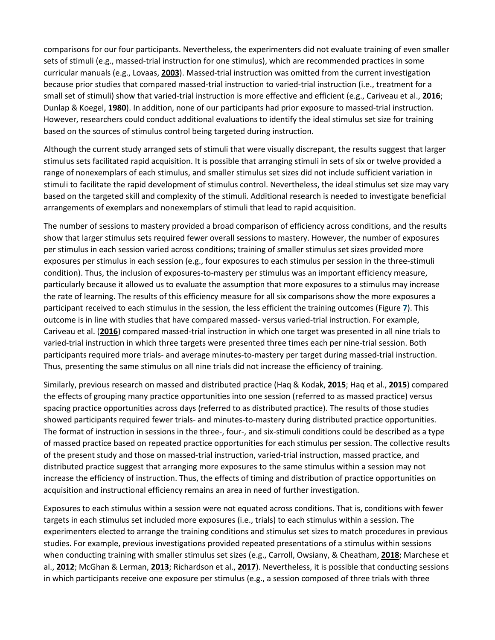comparisons for our four participants. Nevertheless, the experimenters did not evaluate training of even smaller sets of stimuli (e.g., massed-trial instruction for one stimulus), which are recommended practices in some curricular manuals (e.g., Lovaas, **[2003](https://onlinelibrary.wiley.com/doi/full/10.1002/jaba.553#jaba553-bib-0016)**). Massed-trial instruction was omitted from the current investigation because prior studies that compared massed-trial instruction to varied-trial instruction (i.e., treatment for a small set of stimuli) show that varied-trial instruction is more effective and efficient (e.g., Cariveau et al., **[2016](https://onlinelibrary.wiley.com/doi/full/10.1002/jaba.553#jaba553-bib-0001)**; Dunlap & Koegel, **[1980](https://onlinelibrary.wiley.com/doi/full/10.1002/jaba.553#jaba553-bib-0007)**). In addition, none of our participants had prior exposure to massed-trial instruction. However, researchers could conduct additional evaluations to identify the ideal stimulus set size for training based on the sources of stimulus control being targeted during instruction.

Although the current study arranged sets of stimuli that were visually discrepant, the results suggest that larger stimulus sets facilitated rapid acquisition. It is possible that arranging stimuli in sets of six or twelve provided a range of nonexemplars of each stimulus, and smaller stimulus set sizes did not include sufficient variation in stimuli to facilitate the rapid development of stimulus control. Nevertheless, the ideal stimulus set size may vary based on the targeted skill and complexity of the stimuli. Additional research is needed to investigate beneficial arrangements of exemplars and nonexemplars of stimuli that lead to rapid acquisition.

The number of sessions to mastery provided a broad comparison of efficiency across conditions, and the results show that larger stimulus sets required fewer overall sessions to mastery. However, the number of exposures per stimulus in each session varied across conditions; training of smaller stimulus set sizes provided more exposures per stimulus in each session (e.g., four exposures to each stimulus per session in the three-stimuli condition). Thus, the inclusion of exposures-to-mastery per stimulus was an important efficiency measure, particularly because it allowed us to evaluate the assumption that more exposures to a stimulus may increase the rate of learning. The results of this efficiency measure for all six comparisons show the more exposures a participant received to each stimulus in the session, the less efficient the training outcomes (Figure **[7](https://onlinelibrary.wiley.com/doi/full/10.1002/jaba.553#jaba553-fig-0007)**). This outcome is in line with studies that have compared massed- versus varied-trial instruction. For example, Cariveau et al. (**[2016](https://onlinelibrary.wiley.com/doi/full/10.1002/jaba.553#jaba553-bib-0001)**) compared massed-trial instruction in which one target was presented in all nine trials to varied-trial instruction in which three targets were presented three times each per nine-trial session. Both participants required more trials- and average minutes-to-mastery per target during massed-trial instruction. Thus, presenting the same stimulus on all nine trials did not increase the efficiency of training.

Similarly, previous research on massed and distributed practice (Haq & Kodak, **[2015](https://onlinelibrary.wiley.com/doi/full/10.1002/jaba.553#jaba553-bib-0010)**; Haq et al., **[2015](https://onlinelibrary.wiley.com/doi/full/10.1002/jaba.553#jaba553-bib-0011)**) compared the effects of grouping many practice opportunities into one session (referred to as massed practice) versus spacing practice opportunities across days (referred to as distributed practice). The results of those studies showed participants required fewer trials- and minutes-to-mastery during distributed practice opportunities. The format of instruction in sessions in the three-, four-, and six-stimuli conditions could be described as a type of massed practice based on repeated practice opportunities for each stimulus per session. The collective results of the present study and those on massed-trial instruction, varied-trial instruction, massed practice, and distributed practice suggest that arranging more exposures to the same stimulus within a session may not increase the efficiency of instruction. Thus, the effects of timing and distribution of practice opportunities on acquisition and instructional efficiency remains an area in need of further investigation.

Exposures to each stimulus within a session were not equated across conditions. That is, conditions with fewer targets in each stimulus set included more exposures (i.e., trials) to each stimulus within a session. The experimenters elected to arrange the training conditions and stimulus set sizes to match procedures in previous studies. For example, previous investigations provided repeated presentations of a stimulus within sessions when conducting training with smaller stimulus set sizes (e.g., Carroll, Owsiany, & Cheatham, **[2018](https://onlinelibrary.wiley.com/doi/full/10.1002/jaba.553#jaba553-bib-0004)**; Marchese et al., **[2012](https://onlinelibrary.wiley.com/doi/full/10.1002/jaba.553#jaba553-bib-0018)**; McGhan & Lerman, **[2013](https://onlinelibrary.wiley.com/doi/full/10.1002/jaba.553#jaba553-bib-0020)**; Richardson et al., **[2017](https://onlinelibrary.wiley.com/doi/full/10.1002/jaba.553#jaba553-bib-0021)**). Nevertheless, it is possible that conducting sessions in which participants receive one exposure per stimulus (e.g., a session composed of three trials with three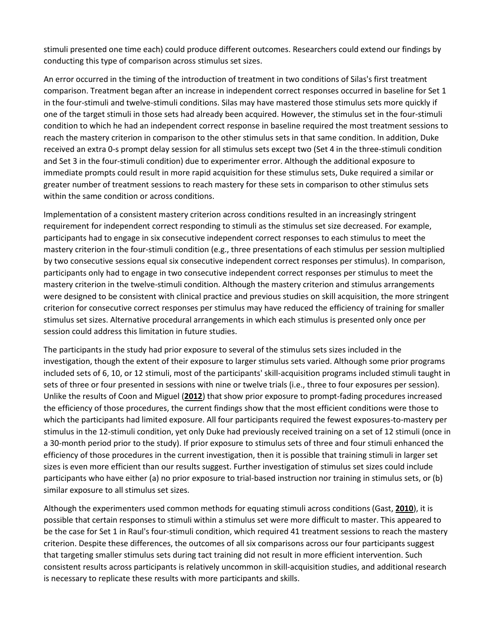stimuli presented one time each) could produce different outcomes. Researchers could extend our findings by conducting this type of comparison across stimulus set sizes.

An error occurred in the timing of the introduction of treatment in two conditions of Silas's first treatment comparison. Treatment began after an increase in independent correct responses occurred in baseline for Set 1 in the four-stimuli and twelve-stimuli conditions. Silas may have mastered those stimulus sets more quickly if one of the target stimuli in those sets had already been acquired. However, the stimulus set in the four-stimuli condition to which he had an independent correct response in baseline required the most treatment sessions to reach the mastery criterion in comparison to the other stimulus sets in that same condition. In addition, Duke received an extra 0-s prompt delay session for all stimulus sets except two (Set 4 in the three-stimuli condition and Set 3 in the four-stimuli condition) due to experimenter error. Although the additional exposure to immediate prompts could result in more rapid acquisition for these stimulus sets, Duke required a similar or greater number of treatment sessions to reach mastery for these sets in comparison to other stimulus sets within the same condition or across conditions.

Implementation of a consistent mastery criterion across conditions resulted in an increasingly stringent requirement for independent correct responding to stimuli as the stimulus set size decreased. For example, participants had to engage in six consecutive independent correct responses to each stimulus to meet the mastery criterion in the four-stimuli condition (e.g., three presentations of each stimulus per session multiplied by two consecutive sessions equal six consecutive independent correct responses per stimulus). In comparison, participants only had to engage in two consecutive independent correct responses per stimulus to meet the mastery criterion in the twelve-stimuli condition. Although the mastery criterion and stimulus arrangements were designed to be consistent with clinical practice and previous studies on skill acquisition, the more stringent criterion for consecutive correct responses per stimulus may have reduced the efficiency of training for smaller stimulus set sizes. Alternative procedural arrangements in which each stimulus is presented only once per session could address this limitation in future studies.

The participants in the study had prior exposure to several of the stimulus sets sizes included in the investigation, though the extent of their exposure to larger stimulus sets varied. Although some prior programs included sets of 6, 10, or 12 stimuli, most of the participants' skill-acquisition programs included stimuli taught in sets of three or four presented in sessions with nine or twelve trials (i.e., three to four exposures per session). Unlike the results of Coon and Miguel (**[2012](https://onlinelibrary.wiley.com/doi/full/10.1002/jaba.553#jaba553-bib-0005)**) that show prior exposure to prompt-fading procedures increased the efficiency of those procedures, the current findings show that the most efficient conditions were those to which the participants had limited exposure. All four participants required the fewest exposures-to-mastery per stimulus in the 12-stimuli condition, yet only Duke had previously received training on a set of 12 stimuli (once in a 30-month period prior to the study). If prior exposure to stimulus sets of three and four stimuli enhanced the efficiency of those procedures in the current investigation, then it is possible that training stimuli in larger set sizes is even more efficient than our results suggest. Further investigation of stimulus set sizes could include participants who have either (a) no prior exposure to trial-based instruction nor training in stimulus sets, or (b) similar exposure to all stimulus set sizes.

Although the experimenters used common methods for equating stimuli across conditions (Gast, **[2010](https://onlinelibrary.wiley.com/doi/full/10.1002/jaba.553#jaba553-bib-0008)**), it is possible that certain responses to stimuli within a stimulus set were more difficult to master. This appeared to be the case for Set 1 in Raul's four-stimuli condition, which required 41 treatment sessions to reach the mastery criterion. Despite these differences, the outcomes of all six comparisons across our four participants suggest that targeting smaller stimulus sets during tact training did not result in more efficient intervention. Such consistent results across participants is relatively uncommon in skill-acquisition studies, and additional research is necessary to replicate these results with more participants and skills.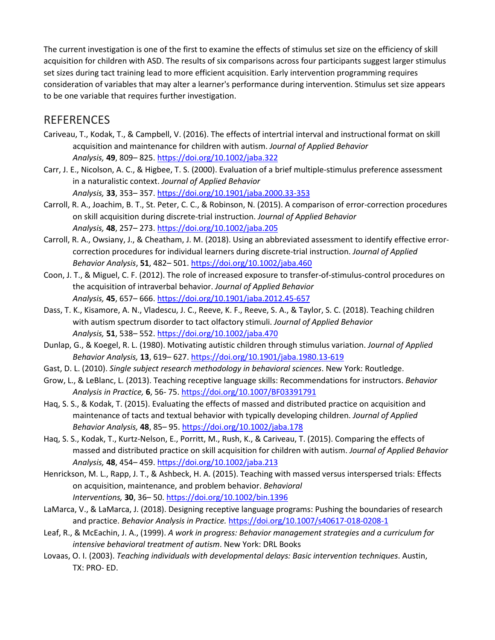The current investigation is one of the first to examine the effects of stimulus set size on the efficiency of skill acquisition for children with ASD. The results of six comparisons across four participants suggest larger stimulus set sizes during tact training lead to more efficient acquisition. Early intervention programming requires consideration of variables that may alter a learner's performance during intervention. Stimulus set size appears to be one variable that requires further investigation.

#### REFERENCES

- Cariveau, T., Kodak, T., & Campbell, V. (2016). The effects of intertrial interval and instructional format on skill acquisition and maintenance for children with autism. *Journal of Applied Behavior Analysis,* **49**, 809– 825. <https://doi.org/10.1002/jaba.322>
- Carr, J. E., Nicolson, A. C., & Higbee, T. S. (2000). Evaluation of a brief multiple-stimulus preference assessment in a naturalistic context. *Journal of Applied Behavior Analysis,* **33**, 353– 357. <https://doi.org/10.1901/jaba.2000.33-353>
- Carroll, R. A., Joachim, B. T., St. Peter, C. C., & Robinson, N. (2015). A comparison of error-correction procedures on skill acquisition during discrete-trial instruction. *Journal of Applied Behavior Analysis,* **48**, 257– 273. <https://doi.org/10.1002/jaba.205>
- Carroll, R. A., Owsiany, J., & Cheatham, J. M. (2018). Using an abbreviated assessment to identify effective errorcorrection procedures for individual learners during discrete-trial instruction. *Journal of Applied Behavior Analysis*, **51**, 482– 501. <https://doi.org/10.1002/jaba.460>
- Coon, J. T., & Miguel, C. F. (2012). The role of increased exposure to transfer-of-stimulus-control procedures on the acquisition of intraverbal behavior. *Journal of Applied Behavior Analysis,* **45**, 657– 666. <https://doi.org/10.1901/jaba.2012.45-657>
- Dass, T. K., Kisamore, A. N., Vladescu, J. C., Reeve, K. F., Reeve, S. A., & Taylor, S. C. (2018). Teaching children with autism spectrum disorder to tact olfactory stimuli. *Journal of Applied Behavior Analysis,* **51**, 538– 552. <https://doi.org/10.1002/jaba.470>
- Dunlap, G., & Koegel, R. L. (1980). Motivating autistic children through stimulus variation. *Journal of Applied Behavior Analysis,* **13**, 619– 627. <https://doi.org/10.1901/jaba.1980.13-619>
- Gast, D. L. (2010). *Single subject research methodology in behavioral sciences*. New York: Routledge.
- Grow, L., & LeBlanc, L. (2013). Teaching receptive language skills: Recommendations for instructors. *Behavior Analysis in Practice,* **6**, 56- 75. <https://doi.org/10.1007/BF03391791>
- Haq, S. S., & Kodak, T. (2015). Evaluating the effects of massed and distributed practice on acquisition and maintenance of tacts and textual behavior with typically developing children. *Journal of Applied Behavior Analysis,* **48**, 85– 95. <https://doi.org/10.1002/jaba.178>
- Haq, S. S., Kodak, T., Kurtz-Nelson, E., Porritt, M., Rush, K., & Cariveau, T. (2015). Comparing the effects of massed and distributed practice on skill acquisition for children with autism. *Journal of Applied Behavior Analysis,* **48**, 454– 459. <https://doi.org/10.1002/jaba.213>
- Henrickson, M. L., Rapp, J. T., & Ashbeck, H. A. (2015). Teaching with massed versus interspersed trials: Effects on acquisition, maintenance, and problem behavior. *Behavioral Interventions,* **30**, 36– 50. <https://doi.org/10.1002/bin.1396>
- LaMarca, V., & LaMarca, J. (2018). Designing receptive language programs: Pushing the boundaries of research and practice. *Behavior Analysis in Practice.* <https://doi.org/10.1007/s40617-018-0208-1>
- Leaf, R., & McEachin, J. A., (1999). *A work in progress: Behavior management strategies and a curriculum for intensive behavioral treatment of autism*. New York: DRL Books
- Lovaas, O. I. (2003). *Teaching individuals with developmental delays: Basic intervention techniques*. Austin, TX: PRO- ED.